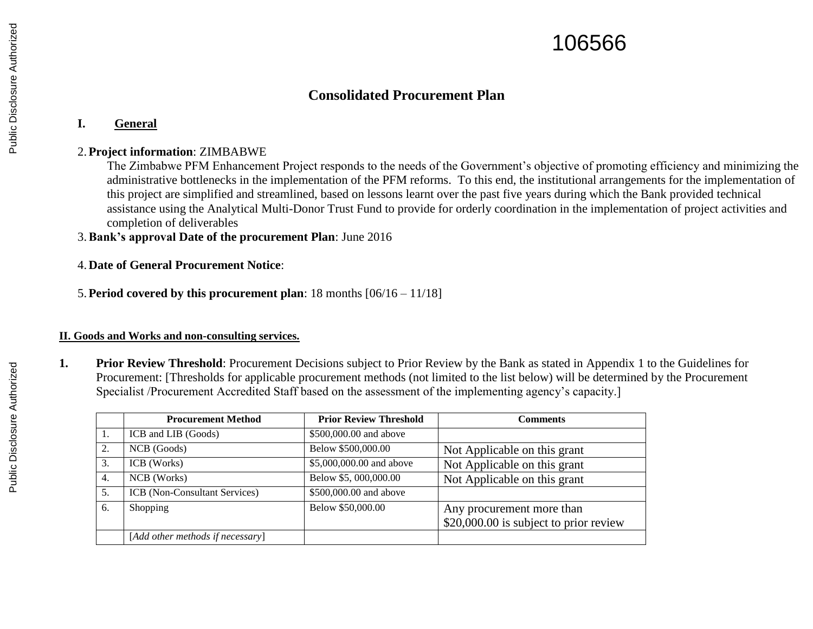# 106566

## **Consolidated Procurement Plan**

## **I. General**

## 2.**Project information**: ZIMBABWE

The Zimbabwe PFM Enhancement Project responds to the needs of the Government's objective of promoting efficiency and minimizing the administrative bottlenecks in the implementation of the PFM reforms. To this end, the institutional arrangements for the implementation of this project are simplified and streamlined, based on lessons learnt over the past five years during which the Bank provided technical assistance using the Analytical Multi-Donor Trust Fund to provide for orderly coordination in the implementation of project activities and completion of deliverables

3.**Bank's approval Date of the procurement Plan**: June 2016

## 4. **Date of General Procurement Notice**:

5.**Period covered by this procurement plan**: 18 months [06/16 – 11/18]

## **II. Goods and Works and non-consulting services.**

**1. Prior Review Threshold**: Procurement Decisions subject to Prior Review by the Bank as stated in Appendix 1 to the Guidelines for Procurement: [Thresholds for applicable procurement methods (not limited to the list below) will be determined by the Procurement Specialist /Procurement Accredited Staff based on the assessment of the implementing agency's capacity.]

|    | <b>Procurement Method</b>        | <b>Prior Review Threshold</b> | Comments                               |
|----|----------------------------------|-------------------------------|----------------------------------------|
|    | ICB and LIB (Goods)              | \$500,000.00 and above        |                                        |
| 2. | NCB (Goods)                      | Below \$500,000.00            | Not Applicable on this grant           |
| 3. | ICB (Works)                      | \$5,000,000.00 and above      | Not Applicable on this grant           |
| 4. | NCB (Works)                      | Below \$5, 000,000.00         | Not Applicable on this grant           |
| 5. | ICB (Non-Consultant Services)    | \$500,000.00 and above        |                                        |
| 6. | Shopping                         | Below \$50,000.00             | Any procurement more than              |
|    |                                  |                               | \$20,000.00 is subject to prior review |
|    | [Add other methods if necessary] |                               |                                        |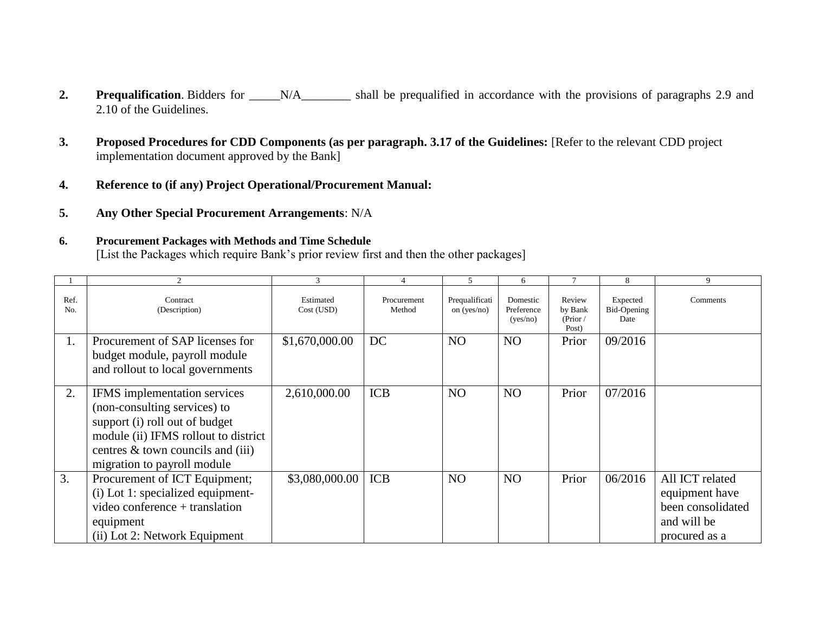- **2. Prequalification**. Bidders for \_\_\_\_N/A\_\_\_\_\_\_\_ shall be prequalified in accordance with the provisions of paragraphs 2.9 and 2.10 of the Guidelines.
- **3. Proposed Procedures for CDD Components (as per paragraph. 3.17 of the Guidelines:** [Refer to the relevant CDD project implementation document approved by the Bank]
- **4. Reference to (if any) Project Operational/Procurement Manual:**
- **5. Any Other Special Procurement Arrangements**: N/A

## **6. Procurement Packages with Methods and Time Schedule**

[List the Packages which require Bank's prior review first and then the other packages]

|                        |                                                                                                                                                                                                            |                         |                       | $\overline{5}$                  | 6                                  |                                        | $\mathbf{\mathsf{R}}$           | 9                                                                                      |
|------------------------|------------------------------------------------------------------------------------------------------------------------------------------------------------------------------------------------------------|-------------------------|-----------------------|---------------------------------|------------------------------------|----------------------------------------|---------------------------------|----------------------------------------------------------------------------------------|
| Ref.<br>N <sub>0</sub> | Contract<br>(Description)                                                                                                                                                                                  | Estimated<br>Cost (USD) | Procurement<br>Method | Prequalificati<br>on $(yes/no)$ | Domestic<br>Preference<br>(yes/no) | Review<br>by Bank<br>(Prior /<br>Post) | Expected<br>Bid-Opening<br>Date | Comments                                                                               |
| $\mathbf{I}$ .         | Procurement of SAP licenses for<br>budget module, payroll module<br>and rollout to local governments                                                                                                       | \$1,670,000.00          | DC                    | N <sub>O</sub>                  | N <sub>O</sub>                     | Prior                                  | 09/2016                         |                                                                                        |
| 2.                     | IFMS implementation services<br>(non-consulting services) to<br>support (i) roll out of budget<br>module (ii) IFMS rollout to district<br>centres & town councils and (iii)<br>migration to payroll module | 2,610,000.00            | <b>ICB</b>            | N <sub>O</sub>                  | N <sub>O</sub>                     | Prior                                  | 07/2016                         |                                                                                        |
| 3.                     | Procurement of ICT Equipment;<br>(i) Lot 1: specialized equipment-<br>video conference + translation<br>equipment<br>(ii) Lot 2: Network Equipment                                                         | \$3,080,000.00          | <b>ICB</b>            | N <sub>O</sub>                  | N <sub>O</sub>                     | Prior                                  | 06/2016                         | All ICT related<br>equipment have<br>been consolidated<br>and will be<br>procured as a |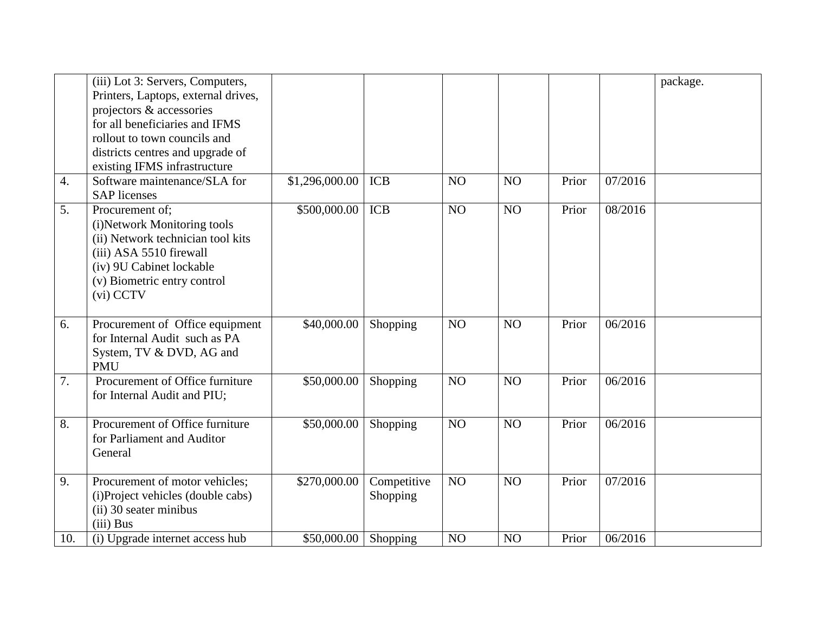|     | (iii) Lot 3: Servers, Computers,<br>Printers, Laptops, external drives,<br>projectors & accessories<br>for all beneficiaries and IFMS<br>rollout to town councils and<br>districts centres and upgrade of<br>existing IFMS infrastructure |                |                         |    |                |       |         | package. |
|-----|-------------------------------------------------------------------------------------------------------------------------------------------------------------------------------------------------------------------------------------------|----------------|-------------------------|----|----------------|-------|---------|----------|
| 4.  | Software maintenance/SLA for<br><b>SAP</b> licenses                                                                                                                                                                                       | \$1,296,000.00 | <b>ICB</b>              | NO | NO             | Prior | 07/2016 |          |
| 5.  | Procurement of:<br>(i)Network Monitoring tools<br>(ii) Network technician tool kits<br>(iii) ASA 5510 firewall<br>(iv) 9U Cabinet lockable<br>(v) Biometric entry control<br>(vi) CCTV                                                    | \$500,000.00   | <b>ICB</b>              | NO | NO             | Prior | 08/2016 |          |
| 6.  | Procurement of Office equipment<br>for Internal Audit such as PA<br>System, TV & DVD, AG and<br><b>PMU</b>                                                                                                                                | \$40,000.00    | Shopping                | NO | NO             | Prior | 06/2016 |          |
| 7.  | Procurement of Office furniture<br>for Internal Audit and PIU;                                                                                                                                                                            | \$50,000.00    | Shopping                | NO | N <sub>O</sub> | Prior | 06/2016 |          |
| 8.  | Procurement of Office furniture<br>for Parliament and Auditor<br>General                                                                                                                                                                  | \$50,000.00    | Shopping                | NO | NO             | Prior | 06/2016 |          |
| 9.  | Procurement of motor vehicles;<br>(i)Project vehicles (double cabs)<br>(ii) 30 seater minibus<br>(iii) Bus                                                                                                                                | \$270,000.00   | Competitive<br>Shopping | NO | NO             | Prior | 07/2016 |          |
| 10. | (i) Upgrade internet access hub                                                                                                                                                                                                           | \$50,000.00    | Shopping                | NO | NO             | Prior | 06/2016 |          |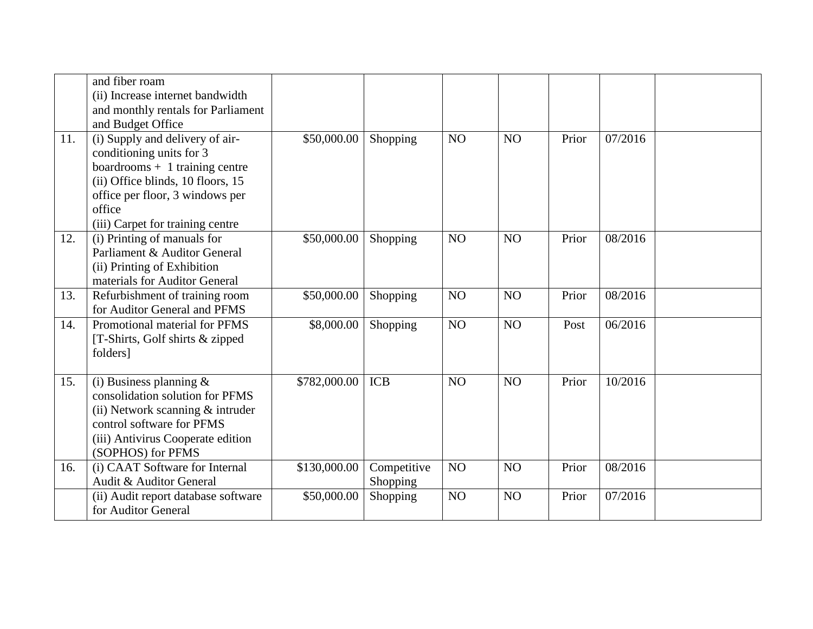|     | and fiber roam<br>(ii) Increase internet bandwidth<br>and monthly rentals for Parliament<br>and Budget Office                                                                                                     |              |                         |                |                |       |         |  |
|-----|-------------------------------------------------------------------------------------------------------------------------------------------------------------------------------------------------------------------|--------------|-------------------------|----------------|----------------|-------|---------|--|
| 11. | (i) Supply and delivery of air-<br>conditioning units for 3<br>$boards + 1 training centre$<br>(ii) Office blinds, 10 floors, 15<br>office per floor, 3 windows per<br>office<br>(iii) Carpet for training centre | \$50,000.00  | Shopping                | NO             | NO             | Prior | 07/2016 |  |
| 12. | (i) Printing of manuals for<br>Parliament & Auditor General<br>(ii) Printing of Exhibition<br>materials for Auditor General                                                                                       | \$50,000.00  | Shopping                | NO             | NO             | Prior | 08/2016 |  |
| 13. | Refurbishment of training room<br>for Auditor General and PFMS                                                                                                                                                    | \$50,000.00  | Shopping                | NO             | NO             | Prior | 08/2016 |  |
| 14. | Promotional material for PFMS<br>[T-Shirts, Golf shirts & zipped]<br>folders]                                                                                                                                     | \$8,000.00   | Shopping                | NO             | NO             | Post  | 06/2016 |  |
| 15. | (i) Business planning $\&$<br>consolidation solution for PFMS<br>(ii) Network scanning & intruder<br>control software for PFMS<br>(iii) Antivirus Cooperate edition<br>(SOPHOS) for PFMS                          | \$782,000.00 | <b>ICB</b>              | N <sub>O</sub> | N <sub>O</sub> | Prior | 10/2016 |  |
| 16. | (i) CAAT Software for Internal<br>Audit & Auditor General                                                                                                                                                         | \$130,000.00 | Competitive<br>Shopping | NO             | NO             | Prior | 08/2016 |  |
|     | (ii) Audit report database software<br>for Auditor General                                                                                                                                                        | \$50,000.00  | Shopping                | NO             | NO             | Prior | 07/2016 |  |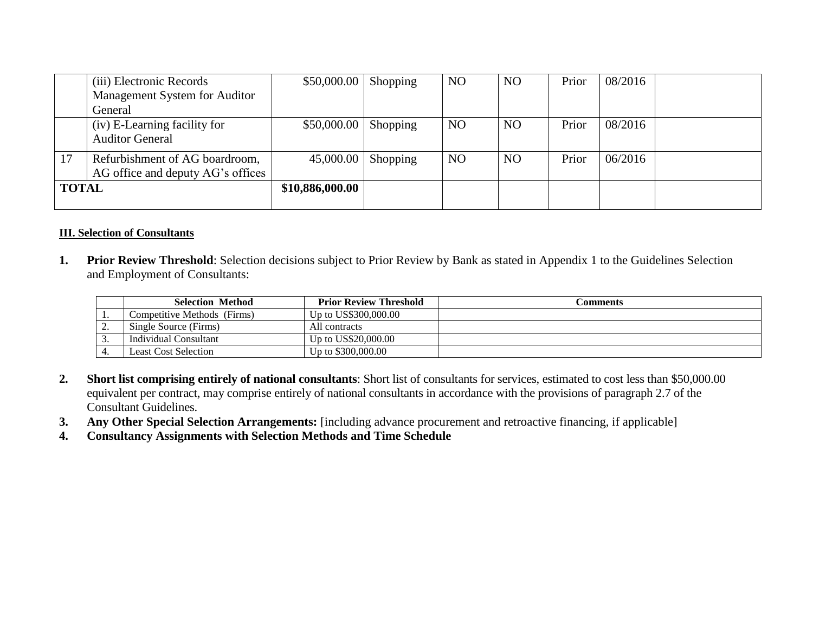|              | (iii) Electronic Records          | \$50,000.00     | <b>Shopping</b> | N <sub>O</sub> | N <sub>O</sub> | Prior | 08/2016 |  |
|--------------|-----------------------------------|-----------------|-----------------|----------------|----------------|-------|---------|--|
|              | Management System for Auditor     |                 |                 |                |                |       |         |  |
|              | General                           |                 |                 |                |                |       |         |  |
|              | (iv) E-Learning facility for      | \$50,000.00     | Shopping        | N <sub>O</sub> | N <sub>O</sub> | Prior | 08/2016 |  |
|              | <b>Auditor General</b>            |                 |                 |                |                |       |         |  |
|              | Refurbishment of AG boardroom,    | 45,000.00       | Shopping        | N <sub>O</sub> | N <sub>O</sub> | Prior | 06/2016 |  |
|              | AG office and deputy AG's offices |                 |                 |                |                |       |         |  |
| <b>TOTAL</b> |                                   | \$10,886,000.00 |                 |                |                |       |         |  |
|              |                                   |                 |                 |                |                |       |         |  |

## **III. Selection of Consultants**

**1. Prior Review Threshold**: Selection decisions subject to Prior Review by Bank as stated in Appendix 1 to the Guidelines Selection and Employment of Consultants:

|          | <b>Selection Method</b>     | <b>Prior Review Threshold</b> | .`omments |
|----------|-----------------------------|-------------------------------|-----------|
|          | Competitive Methods (Firms) | Up to US\$300,000.00          |           |
| <u>.</u> | Single Source (Firms)       | All contracts                 |           |
|          | Individual Consultant       | Up to US\$20,000.00           |           |
|          | <b>Least Cost Selection</b> | Up to \$300,000.00            |           |

- **2. Short list comprising entirely of national consultants**: Short list of consultants for services, estimated to cost less than \$50,000.00 equivalent per contract, may comprise entirely of national consultants in accordance with the provisions of paragraph 2.7 of the Consultant Guidelines.
- **3. Any Other Special Selection Arrangements:** [including advance procurement and retroactive financing, if applicable]
- **4. Consultancy Assignments with Selection Methods and Time Schedule**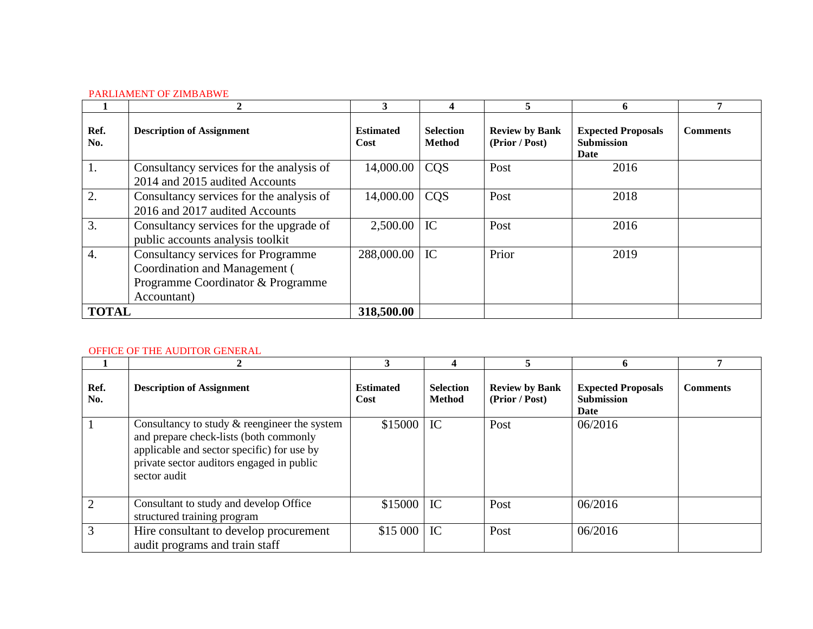#### PARLIAMENT OF ZIMBABWE

|              |                                                                                                                                | 3                        | 4                                 | ÷.                                      | 6                                                             |                 |
|--------------|--------------------------------------------------------------------------------------------------------------------------------|--------------------------|-----------------------------------|-----------------------------------------|---------------------------------------------------------------|-----------------|
| Ref.<br>No.  | <b>Description of Assignment</b>                                                                                               | <b>Estimated</b><br>Cost | <b>Selection</b><br><b>Method</b> | <b>Review by Bank</b><br>(Prior / Post) | <b>Expected Proposals</b><br><b>Submission</b><br><b>Date</b> | <b>Comments</b> |
| 1.           | Consultancy services for the analysis of<br>2014 and 2015 audited Accounts                                                     | 14,000.00                | <b>COS</b>                        | Post                                    | 2016                                                          |                 |
| 2.           | Consultancy services for the analysis of<br>2016 and 2017 audited Accounts                                                     | 14,000.00                | <b>COS</b>                        | Post                                    | 2018                                                          |                 |
| 3.           | Consultancy services for the upgrade of<br>public accounts analysis toolkit                                                    | 2,500.00                 | IC                                | Post                                    | 2016                                                          |                 |
| 4.           | <b>Consultancy services for Programme</b><br>Coordination and Management (<br>Programme Coordinator & Programme<br>Accountant) | 288,000.00               | IC                                | Prior                                   | 2019                                                          |                 |
| <b>TOTAL</b> |                                                                                                                                | 318,500.00               |                                   |                                         |                                                               |                 |

#### OFFICE OF THE AUDITOR GENERAL

|             |                                                                                                                                                                                                     | 3                        | 4                                 |                                         | 6                                                      |                 |
|-------------|-----------------------------------------------------------------------------------------------------------------------------------------------------------------------------------------------------|--------------------------|-----------------------------------|-----------------------------------------|--------------------------------------------------------|-----------------|
| Ref.<br>No. | <b>Description of Assignment</b>                                                                                                                                                                    | <b>Estimated</b><br>Cost | <b>Selection</b><br><b>Method</b> | <b>Review by Bank</b><br>(Prior / Post) | <b>Expected Proposals</b><br><b>Submission</b><br>Date | <b>Comments</b> |
|             | Consultancy to study $&$ reengineer the system<br>and prepare check-lists (both commonly<br>applicable and sector specific) for use by<br>private sector auditors engaged in public<br>sector audit | $$15000$ IC              |                                   | Post                                    | 06/2016                                                |                 |
| 2           | Consultant to study and develop Office<br>structured training program                                                                                                                               | $$15000$ IC              |                                   | Post                                    | 06/2016                                                |                 |
| 3           | Hire consultant to develop procurement<br>audit programs and train staff                                                                                                                            | \$15 000                 | $\overline{C}$                    | Post                                    | 06/2016                                                |                 |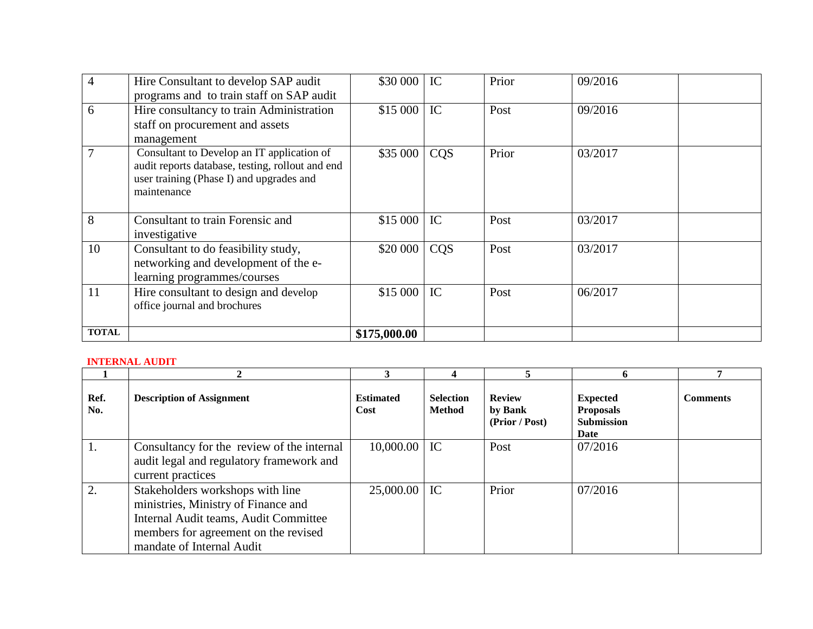| $\overline{4}$ | Hire Consultant to develop SAP audit<br>programs and to train staff on SAP audit                                                                          | \$30 000   IC |            | Prior | 09/2016 |  |
|----------------|-----------------------------------------------------------------------------------------------------------------------------------------------------------|---------------|------------|-------|---------|--|
| 6              | Hire consultancy to train Administration<br>staff on procurement and assets<br>management                                                                 | $$15000$ IC   |            | Post  | 09/2016 |  |
| $\tau$         | Consultant to Develop an IT application of<br>audit reports database, testing, rollout and end<br>user training (Phase I) and upgrades and<br>maintenance | \$35 000      | <b>CQS</b> | Prior | 03/2017 |  |
| 8              | Consultant to train Forensic and<br>investigative                                                                                                         | $$15000$ IC   |            | Post  | 03/2017 |  |
| 10             | Consultant to do feasibility study,<br>networking and development of the e-<br>learning programmes/courses                                                | \$20 000      | CQS        | Post  | 03/2017 |  |
| 11             | Hire consultant to design and develop<br>office journal and brochures                                                                                     | $$15000$ IC   |            | Post  | 06/2017 |  |
| <b>TOTAL</b>   |                                                                                                                                                           | \$175,000.00  |            |       |         |  |

#### **INTERNAL AUDIT**

|             |                                                                                                                                                                                       |                          |                                   |                                            | 6                                                                |                 |
|-------------|---------------------------------------------------------------------------------------------------------------------------------------------------------------------------------------|--------------------------|-----------------------------------|--------------------------------------------|------------------------------------------------------------------|-----------------|
| Ref.<br>No. | <b>Description of Assignment</b>                                                                                                                                                      | <b>Estimated</b><br>Cost | <b>Selection</b><br><b>Method</b> | <b>Review</b><br>by Bank<br>(Prior / Post) | <b>Expected</b><br><b>Proposals</b><br><b>Submission</b><br>Date | <b>Comments</b> |
| 1.          | Consultancy for the review of the internal<br>audit legal and regulatory framework and<br>current practices                                                                           | $10,000.00$   IC         |                                   | Post                                       | 07/2016                                                          |                 |
| 2.          | Stakeholders workshops with line<br>ministries, Ministry of Finance and<br>Internal Audit teams, Audit Committee<br>members for agreement on the revised<br>mandate of Internal Audit | $25,000.00$ IC           |                                   | Prior                                      | 07/2016                                                          |                 |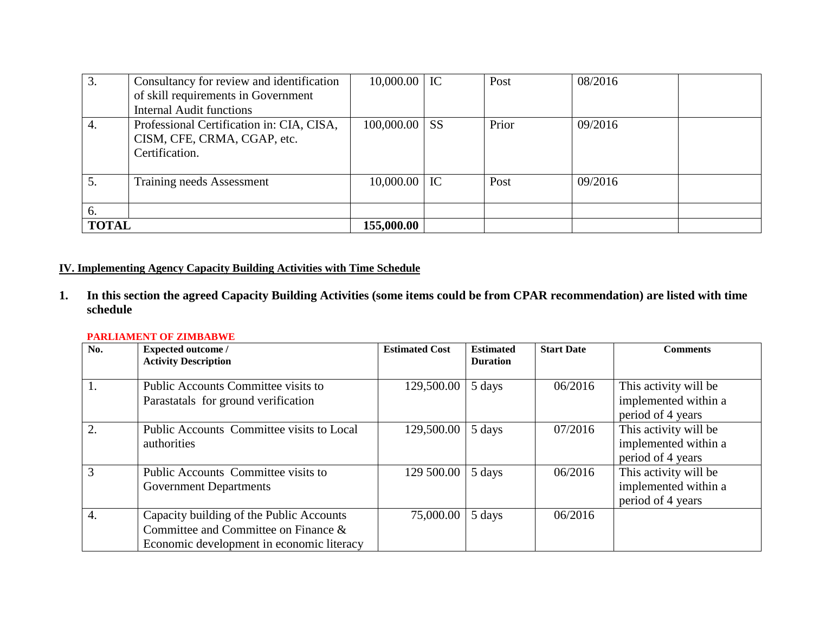| 3.           | Consultancy for review and identification<br>of skill requirements in Government<br><b>Internal Audit functions</b> | $10,000.00$ IC   |           | Post  | 08/2016 |  |
|--------------|---------------------------------------------------------------------------------------------------------------------|------------------|-----------|-------|---------|--|
| 4.           | Professional Certification in: CIA, CISA,<br>CISM, CFE, CRMA, CGAP, etc.<br>Certification.                          | 100,000.00       | <b>SS</b> | Prior | 09/2016 |  |
| 5.           | Training needs Assessment                                                                                           | $10,000.00$   IC |           | Post  | 09/2016 |  |
| 6.           |                                                                                                                     |                  |           |       |         |  |
| <b>TOTAL</b> |                                                                                                                     | 155,000.00       |           |       |         |  |

## **IV. Implementing Agency Capacity Building Activities with Time Schedule**

**1. In this section the agreed Capacity Building Activities (some items could be from CPAR recommendation) are listed with time schedule** 

#### **PARLIAMENT OF ZIMBABWE**

| No.              | <b>Expected outcome /</b><br><b>Activity Description</b>                                                                      | <b>Estimated Cost</b> | <b>Estimated</b><br><b>Duration</b> | <b>Start Date</b> | <b>Comments</b>                                                    |
|------------------|-------------------------------------------------------------------------------------------------------------------------------|-----------------------|-------------------------------------|-------------------|--------------------------------------------------------------------|
|                  |                                                                                                                               |                       |                                     |                   |                                                                    |
|                  | Public Accounts Committee visits to<br>Parastatals for ground verification                                                    | 129,500.00            | 5 days                              | 06/2016           | This activity will be<br>implemented within a<br>period of 4 years |
| 2.               | Public Accounts Committee visits to Local<br>authorities                                                                      | 129,500.00            | 5 days                              | 07/2016           | This activity will be<br>implemented within a<br>period of 4 years |
| 3                | Public Accounts Committee visits to<br><b>Government Departments</b>                                                          | 129 500.00            | 5 days                              | 06/2016           | This activity will be<br>implemented within a<br>period of 4 years |
| $\overline{4}$ . | Capacity building of the Public Accounts<br>Committee and Committee on Finance &<br>Economic development in economic literacy | 75,000.00             | 5 days                              | 06/2016           |                                                                    |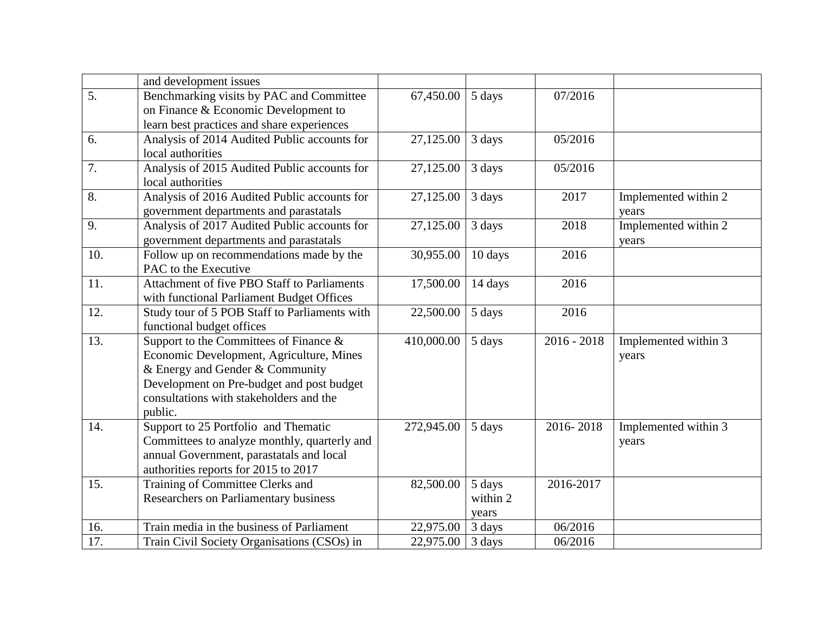|                  | and development issues                        |            |          |               |                      |
|------------------|-----------------------------------------------|------------|----------|---------------|----------------------|
| $\overline{5}$ . | Benchmarking visits by PAC and Committee      | 67,450.00  | 5 days   | 07/2016       |                      |
|                  | on Finance & Economic Development to          |            |          |               |                      |
|                  | learn best practices and share experiences    |            |          |               |                      |
| 6.               | Analysis of 2014 Audited Public accounts for  | 27,125.00  | 3 days   | 05/2016       |                      |
|                  | local authorities                             |            |          |               |                      |
| 7.               | Analysis of 2015 Audited Public accounts for  | 27,125.00  | 3 days   | 05/2016       |                      |
|                  | local authorities                             |            |          |               |                      |
| 8.               | Analysis of 2016 Audited Public accounts for  | 27,125.00  | 3 days   | 2017          | Implemented within 2 |
|                  | government departments and parastatals        |            |          |               | years                |
| 9.               | Analysis of 2017 Audited Public accounts for  | 27,125.00  | 3 days   | 2018          | Implemented within 2 |
|                  | government departments and parastatals        |            |          |               | years                |
| 10.              | Follow up on recommendations made by the      | 30,955.00  | 10 days  | 2016          |                      |
|                  | PAC to the Executive                          |            |          |               |                      |
| 11.              | Attachment of five PBO Staff to Parliaments   | 17,500.00  | 14 days  | 2016          |                      |
|                  | with functional Parliament Budget Offices     |            |          |               |                      |
| 12.              | Study tour of 5 POB Staff to Parliaments with | 22,500.00  | 5 days   | 2016          |                      |
|                  | functional budget offices                     |            |          |               |                      |
| 13.              | Support to the Committees of Finance $\&$     | 410,000.00 | 5 days   | $2016 - 2018$ | Implemented within 3 |
|                  | Economic Development, Agriculture, Mines      |            |          |               | years                |
|                  | & Energy and Gender & Community               |            |          |               |                      |
|                  | Development on Pre-budget and post budget     |            |          |               |                      |
|                  | consultations with stakeholders and the       |            |          |               |                      |
|                  | public.                                       |            |          |               |                      |
| 14.              | Support to 25 Portfolio and Thematic          | 272,945.00 | 5 days   | 2016-2018     | Implemented within 3 |
|                  | Committees to analyze monthly, quarterly and  |            |          |               | years                |
|                  | annual Government, parastatals and local      |            |          |               |                      |
|                  | authorities reports for 2015 to 2017          |            |          |               |                      |
| 15.              | Training of Committee Clerks and              | 82,500.00  | 5 days   | 2016-2017     |                      |
|                  | Researchers on Parliamentary business         |            | within 2 |               |                      |
|                  |                                               |            | years    |               |                      |
| 16.              | Train media in the business of Parliament     | 22,975.00  | 3 days   | 06/2016       |                      |
| 17.              | Train Civil Society Organisations (CSOs) in   | 22,975.00  | 3 days   | 06/2016       |                      |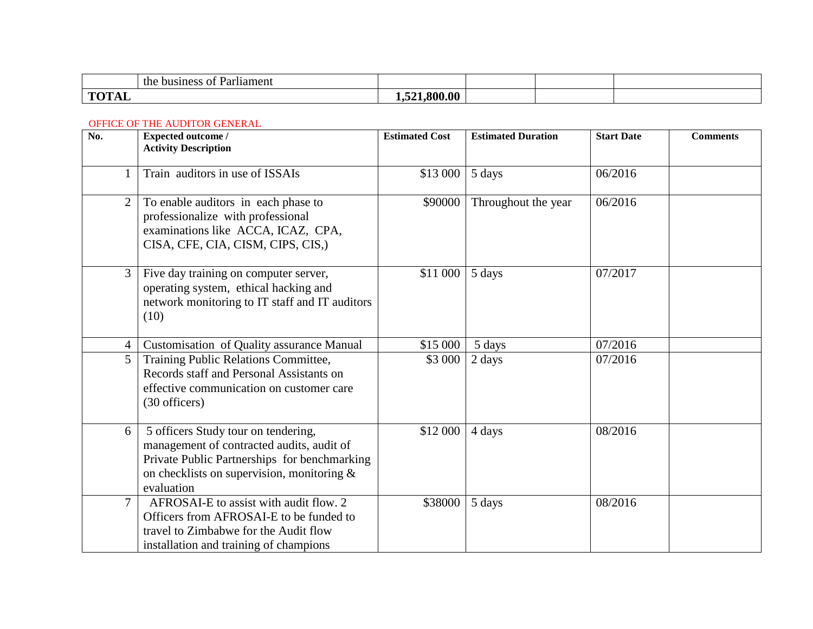| $\sim$<br>the<br>busine:<br>1ament<br>$\Omega$<br>ан |                   |  |  |
|------------------------------------------------------|-------------------|--|--|
| тот<br>$\mathbf{I}$<br>17 D.D                        | -00<br>00A<br>$-$ |  |  |

#### OFFICE OF THE AUDITOR GENERAL

| No.            | <b>Expected outcome /</b><br><b>Activity Description</b>                                                                                                                                        | <b>Estimated Cost</b> | <b>Estimated Duration</b> | <b>Start Date</b> | <b>Comments</b> |
|----------------|-------------------------------------------------------------------------------------------------------------------------------------------------------------------------------------------------|-----------------------|---------------------------|-------------------|-----------------|
|                | Train auditors in use of ISSAIs                                                                                                                                                                 | \$13 000              | 5 days                    | 06/2016           |                 |
| $\overline{2}$ | To enable auditors in each phase to<br>professionalize with professional<br>examinations like ACCA, ICAZ, CPA,<br>CISA, CFE, CIA, CISM, CIPS, CIS,)                                             | \$90000               | Throughout the year       | 06/2016           |                 |
| 3              | Five day training on computer server,<br>operating system, ethical hacking and<br>network monitoring to IT staff and IT auditors<br>(10)                                                        | \$11 000              | 5 days                    | 07/2017           |                 |
| $\overline{4}$ | Customisation of Quality assurance Manual                                                                                                                                                       | \$15 000              | 5 days                    | 07/2016           |                 |
| 5              | Training Public Relations Committee,<br>Records staff and Personal Assistants on<br>effective communication on customer care<br>(30 officers)                                                   | \$3 000               | 2 days                    | 07/2016           |                 |
| 6              | 5 officers Study tour on tendering,<br>management of contracted audits, audit of<br>Private Public Partnerships for benchmarking<br>on checklists on supervision, monitoring $\&$<br>evaluation | \$12 000              | 4 days                    | 08/2016           |                 |
| $\overline{7}$ | AFROSAI-E to assist with audit flow. 2<br>Officers from AFROSAI-E to be funded to<br>travel to Zimbabwe for the Audit flow<br>installation and training of champions                            | \$38000               | 5 days                    | 08/2016           |                 |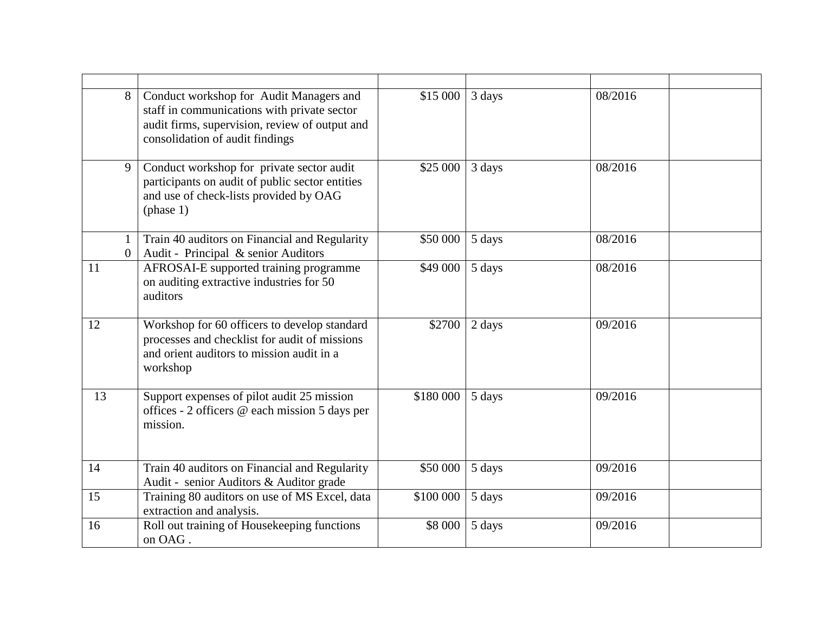|    | 8                   | Conduct workshop for Audit Managers and<br>staff in communications with private sector<br>audit firms, supervision, review of output and<br>consolidation of audit findings | \$15 000  | 3 days | 08/2016 |  |
|----|---------------------|-----------------------------------------------------------------------------------------------------------------------------------------------------------------------------|-----------|--------|---------|--|
|    | 9                   | Conduct workshop for private sector audit<br>participants on audit of public sector entities<br>and use of check-lists provided by OAG<br>(phase 1)                         | \$25 000  | 3 days | 08/2016 |  |
|    | 1<br>$\overline{0}$ | Train 40 auditors on Financial and Regularity<br>Audit - Principal & senior Auditors                                                                                        | \$50 000  | 5 days | 08/2016 |  |
| 11 |                     | AFROSAI-E supported training programme<br>on auditing extractive industries for 50<br>auditors                                                                              | \$49 000  | 5 days | 08/2016 |  |
| 12 |                     | Workshop for 60 officers to develop standard<br>processes and checklist for audit of missions<br>and orient auditors to mission audit in a<br>workshop                      | \$2700    | 2 days | 09/2016 |  |
| 13 |                     | Support expenses of pilot audit 25 mission<br>offices - 2 officers @ each mission 5 days per<br>mission.                                                                    | \$180 000 | 5 days | 09/2016 |  |
| 14 |                     | Train 40 auditors on Financial and Regularity<br>Audit - senior Auditors & Auditor grade                                                                                    | \$50 000  | 5 days | 09/2016 |  |
| 15 |                     | Training 80 auditors on use of MS Excel, data<br>extraction and analysis.                                                                                                   | \$100 000 | 5 days | 09/2016 |  |
| 16 |                     | Roll out training of Housekeeping functions<br>on OAG.                                                                                                                      | \$8 000   | 5 days | 09/2016 |  |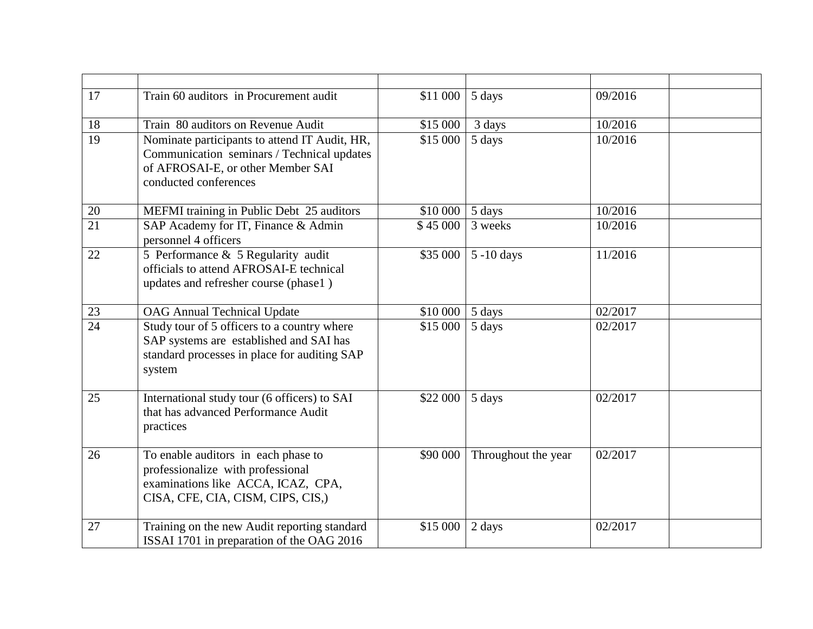| 17              | Train 60 auditors in Procurement audit                                                                                                                    | \$11 000 | 5 days              | 09/2016 |  |
|-----------------|-----------------------------------------------------------------------------------------------------------------------------------------------------------|----------|---------------------|---------|--|
| 18              | Train 80 auditors on Revenue Audit                                                                                                                        | \$15 000 | 3 days              | 10/2016 |  |
| 19              | Nominate participants to attend IT Audit, HR,<br>Communication seminars / Technical updates<br>of AFROSAI-E, or other Member SAI<br>conducted conferences | \$15 000 | 5 days              | 10/2016 |  |
| 20              | MEFMI training in Public Debt 25 auditors                                                                                                                 | \$10 000 | 5 days              | 10/2016 |  |
| $\overline{21}$ | SAP Academy for IT, Finance & Admin<br>personnel 4 officers                                                                                               | \$45 000 | 3 weeks             | 10/2016 |  |
| 22              | 5 Performance & 5 Regularity audit<br>officials to attend AFROSAI-E technical<br>updates and refresher course (phase1)                                    | \$35 000 | $5 - 10$ days       | 11/2016 |  |
| 23              | <b>OAG Annual Technical Update</b>                                                                                                                        | \$10 000 | 5 days              | 02/2017 |  |
| $\overline{24}$ | Study tour of 5 officers to a country where<br>SAP systems are established and SAI has<br>standard processes in place for auditing SAP<br>system          | \$15 000 | 5 days              | 02/2017 |  |
| 25              | International study tour (6 officers) to SAI<br>that has advanced Performance Audit<br>practices                                                          | \$22 000 | 5 days              | 02/2017 |  |
| 26              | To enable auditors in each phase to<br>professionalize with professional<br>examinations like ACCA, ICAZ, CPA,<br>CISA, CFE, CIA, CISM, CIPS, CIS,)       | \$90 000 | Throughout the year | 02/2017 |  |
| 27              | Training on the new Audit reporting standard<br>ISSAI 1701 in preparation of the OAG 2016                                                                 | \$15 000 | 2 days              | 02/2017 |  |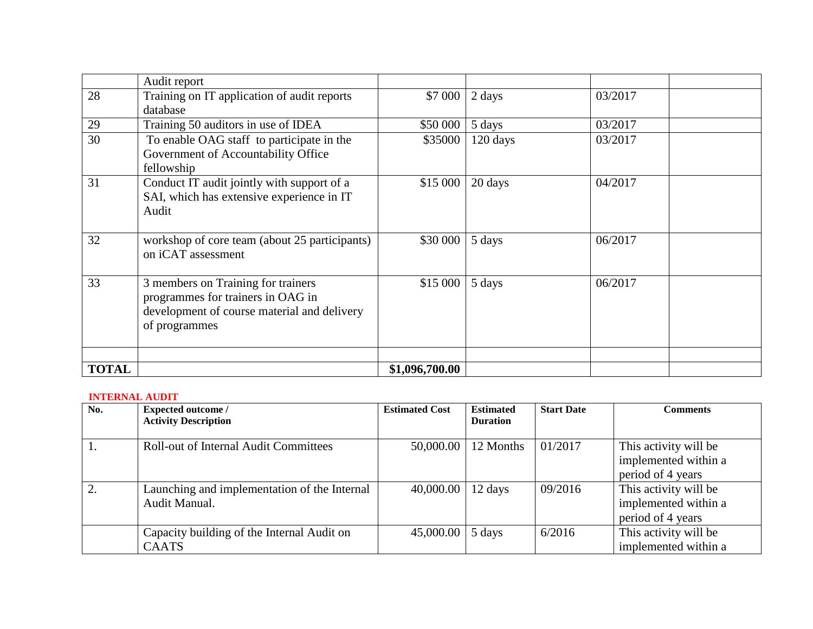|              | Audit report                                                                                                                            |                |          |         |  |
|--------------|-----------------------------------------------------------------------------------------------------------------------------------------|----------------|----------|---------|--|
| 28           | Training on IT application of audit reports<br>database                                                                                 | \$7 000        | 2 days   | 03/2017 |  |
| 29           | Training 50 auditors in use of IDEA                                                                                                     | \$50 000       | 5 days   | 03/2017 |  |
| 30           | To enable OAG staff to participate in the<br>Government of Accountability Office<br>fellowship                                          | \$35000        | 120 days | 03/2017 |  |
| 31           | Conduct IT audit jointly with support of a<br>SAI, which has extensive experience in IT<br>Audit                                        | \$15 000       | 20 days  | 04/2017 |  |
| 32           | workshop of core team (about 25 participants)<br>on iCAT assessment                                                                     | \$30 000       | 5 days   | 06/2017 |  |
| 33           | 3 members on Training for trainers<br>programmes for trainers in OAG in<br>development of course material and delivery<br>of programmes | \$15 000       | 5 days   | 06/2017 |  |
|              |                                                                                                                                         |                |          |         |  |
| <b>TOTAL</b> |                                                                                                                                         | \$1,096,700.00 |          |         |  |

#### **INTERNAL AUDIT**

| No. | <b>Expected outcome/</b>                                      | <b>Estimated Cost</b> | <b>Estimated</b> | <b>Start Date</b> | <b>Comments</b>                                                    |
|-----|---------------------------------------------------------------|-----------------------|------------------|-------------------|--------------------------------------------------------------------|
|     | <b>Activity Description</b>                                   |                       | <b>Duration</b>  |                   |                                                                    |
|     | <b>Roll-out of Internal Audit Committees</b>                  | 50,000.00             | 12 Months        | 01/2017           | This activity will be<br>implemented within a<br>period of 4 years |
|     | Launching and implementation of the Internal<br>Audit Manual. | 40,000.00             | 12 days          | 09/2016           | This activity will be<br>implemented within a<br>period of 4 years |
|     | Capacity building of the Internal Audit on<br><b>CAATS</b>    | 45,000.00             | 5 days           | 6/2016            | This activity will be<br>implemented within a                      |